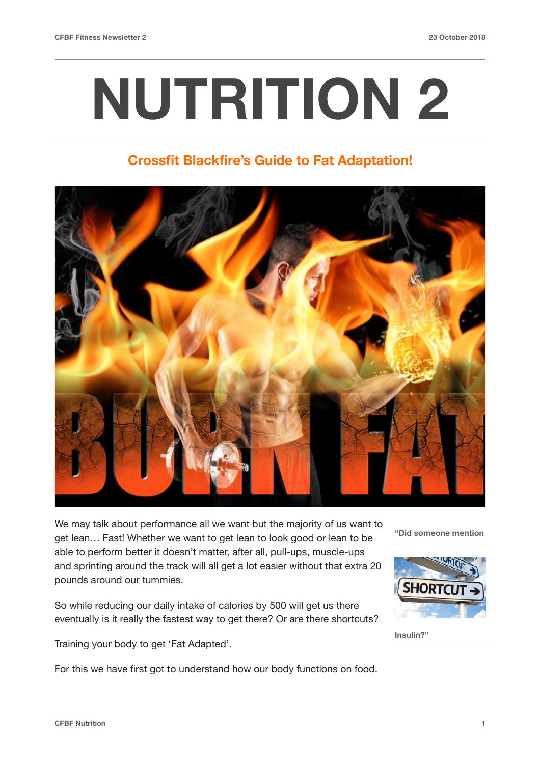# **NUTRITION 2**

# **Crossfit Blackfire's Guide to Fat Adaptation!**



We may talk about performance all we want but the majority of us want to get lean… Fast! Whether we want to get lean to look good or lean to be able to perform better it doesn't matter, after all, pull-ups, muscle-ups and sprinting around the track will all get a lot easier without that extra 20 pounds around our tummies.

So while reducing our daily intake of calories by 500 will get us there eventually is it really the fastest way to get there? Or are there shortcuts?

Training your body to get 'Fat Adapted'.

For this we have first got to understand how our body functions on food.

**"Did someone mention** 



**Insulin?"**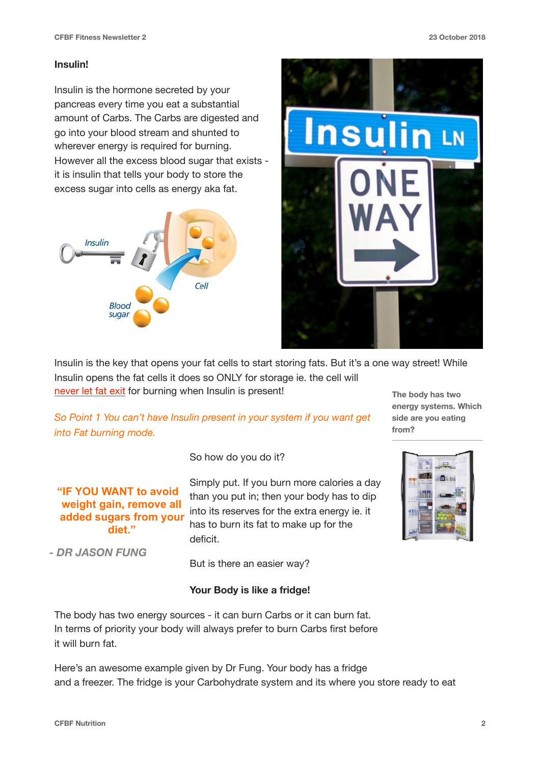#### **Insulin!**

Insulin is the hormone secreted by your pancreas every time you eat a substantial amount of Carbs. The Carbs are digested and go into your blood stream and shunted to wherever energy is required for burning. However all the excess blood sugar that exists it is insulin that tells your body to store the excess sugar into cells as energy aka fat.



**"IF YOU WANT to avoid weight gain, remove all** 

**diet."** 

 *- DR JASON FUNG*



Insulin is the key that opens your fat cells to start storing fats. But it's a one way street! While Insulin opens the fat cells it does so ONLY for storage ie. the cell will never let fat exit for burning when Insulin is present!

*So Point 1 You can't have Insulin present in your system if you want get* 

**The body has two energy systems. Which side are you eating from?**

*into Fat burning mode.*

So how do you do it?

Simply put. If you burn more calories a day than you put in; then your body has to dip into its reserves for the extra energy ie. it has to burn its fat to make up for the deficit. **added sugars from your** 

But is there an easier way?

# **Your Body is like a fridge!**



The body has two energy sources - it can burn Carbs or it can burn fat. In terms of priority your body will always prefer to burn Carbs first before it will burn fat.

Here's an awesome example given by Dr Fung. Your body has a fridge and a freezer. The fridge is your Carbohydrate system and its where you store ready to eat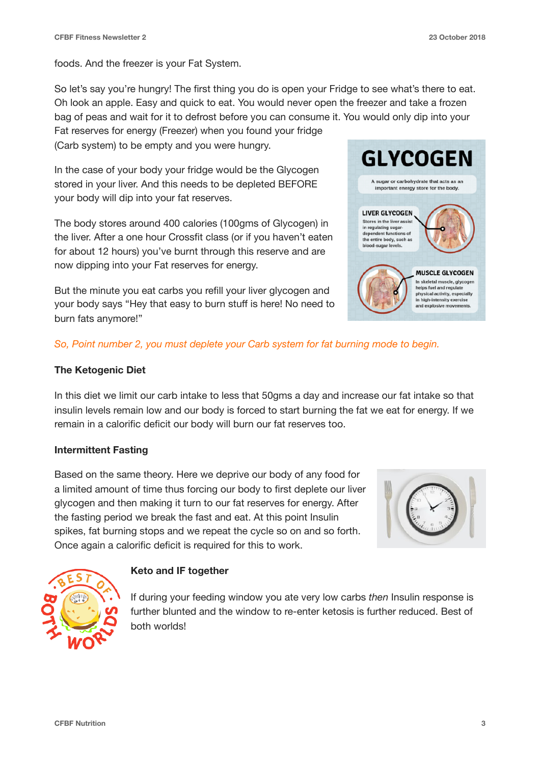foods. And the freezer is your Fat System.

So let's say you're hungry! The first thing you do is open your Fridge to see what's there to eat. Oh look an apple. Easy and quick to eat. You would never open the freezer and take a frozen bag of peas and wait for it to defrost before you can consume it. You would only dip into your

Fat reserves for energy (Freezer) when you found your fridge (Carb system) to be empty and you were hungry.

In the case of your body your fridge would be the Glycogen stored in your liver. And this needs to be depleted BEFORE your body will dip into your fat reserves.

The body stores around 400 calories (100gms of Glycogen) in the liver. After a one hour Crossfit class (or if you haven't eaten for about 12 hours) you've burnt through this reserve and are now dipping into your Fat reserves for energy.

But the minute you eat carbs you refill your liver glycogen and your body says "Hey that easy to burn stuff is here! No need to burn fats anymore!"



# *So, Point number 2, you must deplete your Carb system for fat burning mode to begin.*

# **The Ketogenic Diet**

In this diet we limit our carb intake to less that 50gms a day and increase our fat intake so that insulin levels remain low and our body is forced to start burning the fat we eat for energy. If we remain in a calorific deficit our body will burn our fat reserves too.

# **Intermittent Fasting**

Based on the same theory. Here we deprive our body of any food for a limited amount of time thus forcing our body to first deplete our liver glycogen and then making it turn to our fat reserves for energy. After the fasting period we break the fast and eat. At this point Insulin spikes, fat burning stops and we repeat the cycle so on and so forth. Once again a calorific deficit is required for this to work.





# **Keto and IF together**

If during your feeding window you ate very low carbs *then* Insulin response is further blunted and the window to re-enter ketosis is further reduced. Best of both worlds!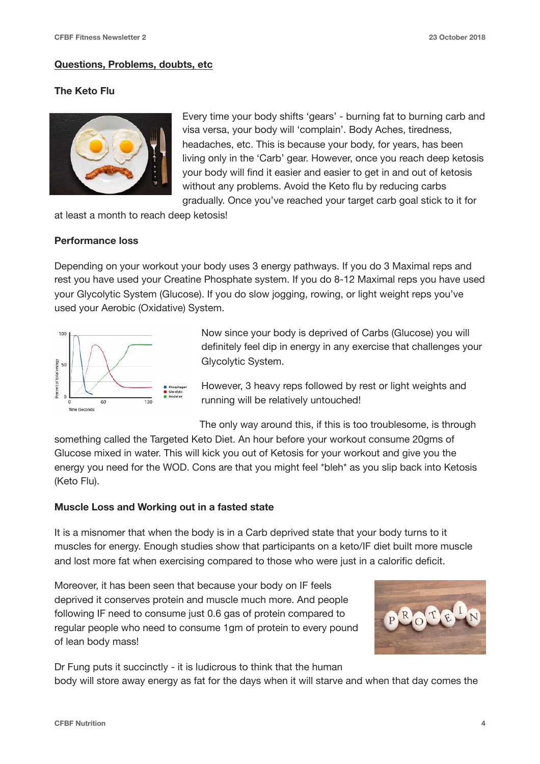#### **Questions, Problems, doubts, etc**

#### **The Keto Flu**



Every time your body shifts 'gears' - burning fat to burning carb and visa versa, your body will 'complain'. Body Aches, tiredness, headaches, etc. This is because your body, for years, has been living only in the 'Carb' gear. However, once you reach deep ketosis your body will find it easier and easier to get in and out of ketosis without any problems. Avoid the Keto flu by reducing carbs gradually. Once you've reached your target carb goal stick to it for

at least a month to reach deep ketosis!

#### **Performance loss**

Depending on your workout your body uses 3 energy pathways. If you do 3 Maximal reps and rest you have used your Creatine Phosphate system. If you do 8-12 Maximal reps you have used your Glycolytic System (Glucose). If you do slow jogging, rowing, or light weight reps you've used your Aerobic (Oxidative) System.



Now since your body is deprived of Carbs (Glucose) you will definitely feel dip in energy in any exercise that challenges your Glycolytic System.

However, 3 heavy reps followed by rest or light weights and running will be relatively untouched!

The only way around this, if this is too troublesome, is through something called the Targeted Keto Diet. An hour before your workout consume 20gms of Glucose mixed in water. This will kick you out of Ketosis for your workout and give you the energy you need for the WOD. Cons are that you might feel \*bleh\* as you slip back into Ketosis (Keto Flu).

#### **Muscle Loss and Working out in a fasted state**

It is a misnomer that when the body is in a Carb deprived state that your body turns to it muscles for energy. Enough studies show that participants on a keto/IF diet built more muscle and lost more fat when exercising compared to those who were just in a calorific deficit.

Moreover, it has been seen that because your body on IF feels deprived it conserves protein and muscle much more. And people following IF need to consume just 0.6 gas of protein compared to regular people who need to consume 1gm of protein to every pound of lean body mass!



Dr Fung puts it succinctly - it is ludicrous to think that the human body will store away energy as fat for the days when it will starve and when that day comes the